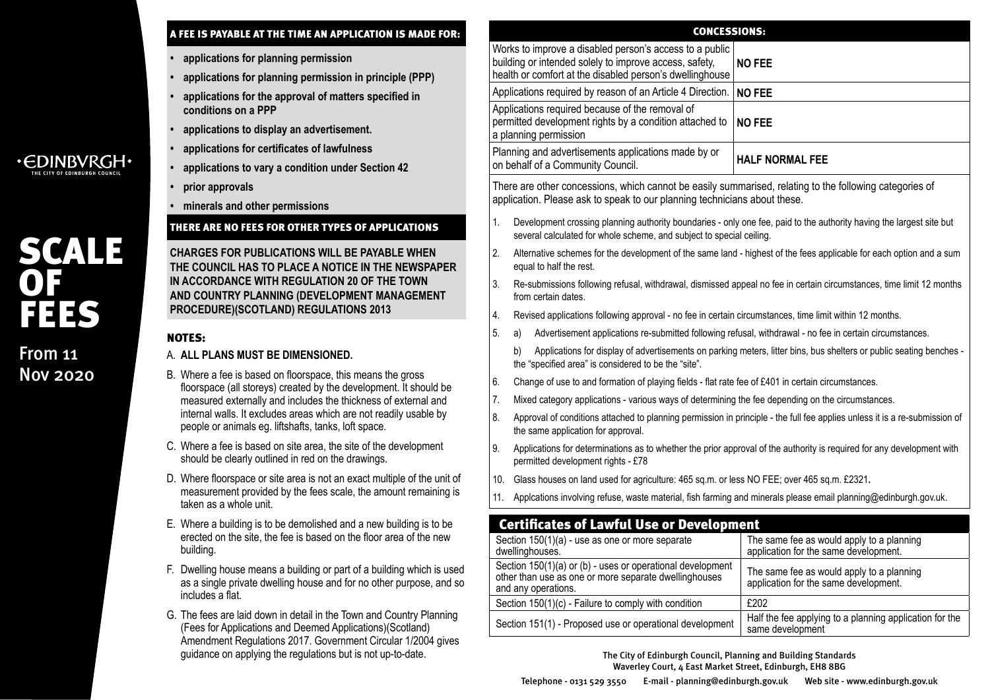| A FEE IS PAYABLE AT THE TIME AN APPLICATION IS MADE FOR:                                                                                                                                                                                                                                                                        | <b>CONCESSIONS:</b>                                                                                                                                                                                |                                                                                    |  |  |  |  |  |
|---------------------------------------------------------------------------------------------------------------------------------------------------------------------------------------------------------------------------------------------------------------------------------------------------------------------------------|----------------------------------------------------------------------------------------------------------------------------------------------------------------------------------------------------|------------------------------------------------------------------------------------|--|--|--|--|--|
| applications for planning permission<br>applications for planning permission in principle (PPP)                                                                                                                                                                                                                                 | Works to improve a disabled person's access to a public<br>building or intended solely to improve access, safety,<br>NO FEE<br>health or comfort at the disabled person's dwellinghouse            |                                                                                    |  |  |  |  |  |
| applications for the approval of matters specified in                                                                                                                                                                                                                                                                           | Applications required by reason of an Article 4 Direction.                                                                                                                                         | NO FEE                                                                             |  |  |  |  |  |
| conditions on a PPP<br>applications to display an advertisement.                                                                                                                                                                                                                                                                | Applications required because of the removal of<br>permitted development rights by a condition attached to<br>NO FEE<br>a planning permission                                                      |                                                                                    |  |  |  |  |  |
| applications for certificates of lawfulness                                                                                                                                                                                                                                                                                     | Planning and advertisements applications made by or                                                                                                                                                |                                                                                    |  |  |  |  |  |
| applications to vary a condition under Section 42                                                                                                                                                                                                                                                                               | <b>HALF NORMAL FEE</b><br>on behalf of a Community Council.                                                                                                                                        |                                                                                    |  |  |  |  |  |
| prior approvals                                                                                                                                                                                                                                                                                                                 | There are other concessions, which cannot be easily summarised, relating to the following categories of                                                                                            |                                                                                    |  |  |  |  |  |
| minerals and other permissions                                                                                                                                                                                                                                                                                                  | application. Please ask to speak to our planning technicians about these.                                                                                                                          |                                                                                    |  |  |  |  |  |
| THERE ARE NO FEES FOR OTHER TYPES OF APPLICATIONS                                                                                                                                                                                                                                                                               | Development crossing planning authority boundaries - only one fee, paid to the authority having the largest site but<br>1.<br>several calculated for whole scheme, and subject to special ceiling. |                                                                                    |  |  |  |  |  |
| <b>CHARGES FOR PUBLICATIONS WILL BE PAYABLE WHEN</b><br>THE COUNCIL HAS TO PLACE A NOTICE IN THE NEWSPAPER                                                                                                                                                                                                                      | 2.<br>Alternative schemes for the development of the same land - highest of the fees applicable for each option and a sum<br>equal to half the rest.                                               |                                                                                    |  |  |  |  |  |
| IN ACCORDANCE WITH REGULATION 20 OF THE TOWN<br>AND COUNTRY PLANNING (DEVELOPMENT MANAGEMENT<br>PROCEDURE)(SCOTLAND) REGULATIONS 2013                                                                                                                                                                                           | Re-submissions following refusal, withdrawal, dismissed appeal no fee in certain circumstances, time limit 12 months<br>3.<br>from certain dates.                                                  |                                                                                    |  |  |  |  |  |
|                                                                                                                                                                                                                                                                                                                                 | Revised applications following approval - no fee in certain circumstances, time limit within 12 months.<br>4.                                                                                      |                                                                                    |  |  |  |  |  |
| <b>NOTES:</b>                                                                                                                                                                                                                                                                                                                   | Advertisement applications re-submitted following refusal, withdrawal - no fee in certain circumstances.<br>5.<br>a)                                                                               |                                                                                    |  |  |  |  |  |
| A. ALL PLANS MUST BE DIMENSIONED.                                                                                                                                                                                                                                                                                               | Applications for display of advertisements on parking meters, litter bins, bus shelters or public seating benches -<br>b)<br>the "specified area" is considered to be the "site".                  |                                                                                    |  |  |  |  |  |
| B. Where a fee is based on floorspace, this means the gross<br>floorspace (all storeys) created by the development. It should be<br>measured externally and includes the thickness of external and<br>internal walls. It excludes areas which are not readily usable by<br>people or animals eg. liftshafts, tanks, loft space. | 6.<br>Change of use to and formation of playing fields - flat rate fee of £401 in certain circumstances.                                                                                           |                                                                                    |  |  |  |  |  |
|                                                                                                                                                                                                                                                                                                                                 | Mixed category applications - various ways of determining the fee depending on the circumstances.<br>7.                                                                                            |                                                                                    |  |  |  |  |  |
|                                                                                                                                                                                                                                                                                                                                 | 8.<br>Approval of conditions attached to planning permission in principle - the full fee applies unless it is a re-submission of<br>the same application for approval.                             |                                                                                    |  |  |  |  |  |
| C. Where a fee is based on site area, the site of the development<br>should be clearly outlined in red on the drawings.                                                                                                                                                                                                         | Applications for determinations as to whether the prior approval of the authority is required for any development with<br>9.<br>permitted development rights - £78                                 |                                                                                    |  |  |  |  |  |
| D. Where floorspace or site area is not an exact multiple of the unit of                                                                                                                                                                                                                                                        | Glass houses on land used for agriculture: 465 sq.m. or less NO FEE; over 465 sq.m. £2321.<br>10.                                                                                                  |                                                                                    |  |  |  |  |  |
| measurement provided by the fees scale, the amount remaining is<br>taken as a whole unit.                                                                                                                                                                                                                                       | Applcations involving refuse, waste material, fish farming and minerals please email planning@edinburgh.gov.uk.<br>11.                                                                             |                                                                                    |  |  |  |  |  |
| E. Where a building is to be demolished and a new building is to be                                                                                                                                                                                                                                                             | <b>Certificates of Lawful Use or Development</b>                                                                                                                                                   |                                                                                    |  |  |  |  |  |
| erected on the site, the fee is based on the floor area of the new<br>building.                                                                                                                                                                                                                                                 | Section 150(1)(a) - use as one or more separate<br>dwellinghouses.                                                                                                                                 | The same fee as would apply to a planning<br>application for the same development. |  |  |  |  |  |
| F. Dwelling house means a building or part of a building which is used<br>as a single private dwelling house and for no other purpose, and so<br>includes a flat.                                                                                                                                                               | Section 150(1)(a) or (b) - uses or operational development<br>other than use as one or more separate dwellinghouses<br>and any operations.                                                         | The same fee as would apply to a planning<br>application for the same development. |  |  |  |  |  |
|                                                                                                                                                                                                                                                                                                                                 | Section 150(1)(c) - Failure to comply with condition                                                                                                                                               | £202                                                                               |  |  |  |  |  |
| G. The fees are laid down in detail in the Town and Country Planning<br>(Fees for Applications and Deemed Applications)(Scotland)<br>Amendment Regulations 2017. Government Circular 1/2004 gives                                                                                                                               | Section 151(1) - Proposed use or operational development                                                                                                                                           | Half the fee applying to a planning application for the<br>same development        |  |  |  |  |  |
| guidance on applying the regulations but is not up-to-date.                                                                                                                                                                                                                                                                     | The City of Edinburgh Council, Planning and Building Standards                                                                                                                                     |                                                                                    |  |  |  |  |  |

SCALE

OF

From 11 Nov 2020

FEES

The City of Edinburgh Council, Planning and Building Standards Waverley Court, 4 East Market Street, Edinburgh, EH8 8BG